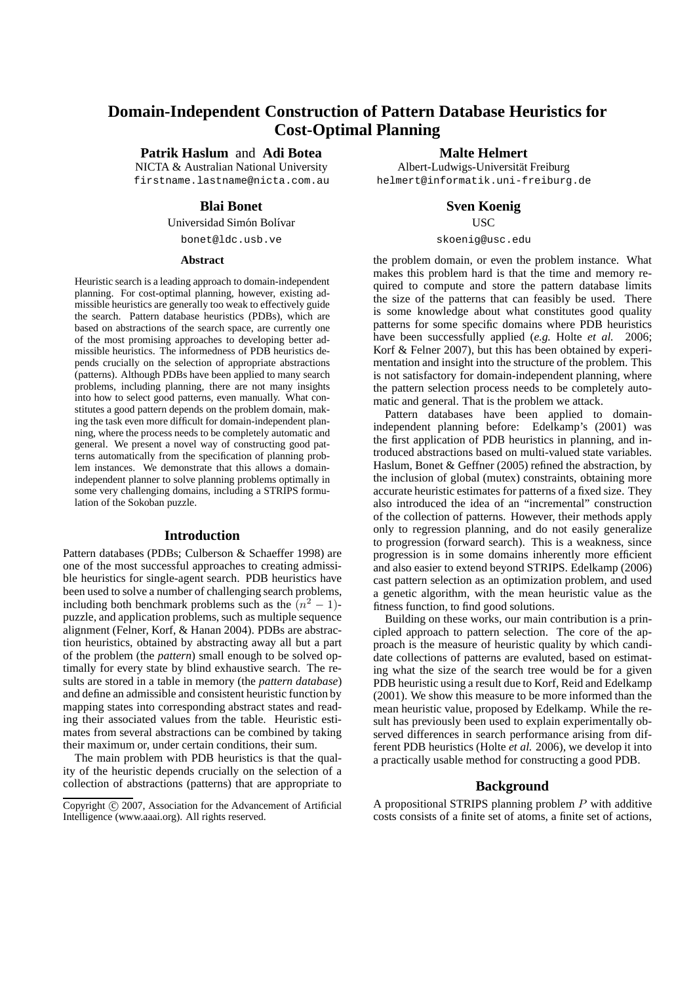# **Domain-Independent Construction of Pattern Database Heuristics for Cost-Optimal Planning**

**Patrik Haslum** and **Adi Botea**

NICTA & Australian National University firstname.lastname@nicta.com.au

#### **Blai Bonet**

Universidad Simón Bolívar

bonet@ldc.usb.ve

#### **Abstract**

Heuristic search is a leading approach to domain-independent planning. For cost-optimal planning, however, existing admissible heuristics are generally too weak to effectively guide the search. Pattern database heuristics (PDBs), which are based on abstractions of the search space, are currently one of the most promising approaches to developing better admissible heuristics. The informedness of PDB heuristics depends crucially on the selection of appropriate abstractions (patterns). Although PDBs have been applied to many search problems, including planning, there are not many insights into how to select good patterns, even manually. What constitutes a good pattern depends on the problem domain, making the task even more difficult for domain-independent planning, where the process needs to be completely automatic and general. We present a novel way of constructing good patterns automatically from the specification of planning problem instances. We demonstrate that this allows a domainindependent planner to solve planning problems optimally in some very challenging domains, including a STRIPS formulation of the Sokoban puzzle.

# **Introduction**

Pattern databases (PDBs; Culberson & Schaeffer 1998) are one of the most successful approaches to creating admissible heuristics for single-agent search. PDB heuristics have been used to solve a number of challenging search problems, including both benchmark problems such as the  $(n^2 - 1)$ puzzle, and application problems, such as multiple sequence alignment (Felner, Korf, & Hanan 2004). PDBs are abstraction heuristics, obtained by abstracting away all but a part of the problem (the *pattern*) small enough to be solved optimally for every state by blind exhaustive search. The results are stored in a table in memory (the *pattern database*) and define an admissible and consistent heuristic function by mapping states into corresponding abstract states and reading their associated values from the table. Heuristic estimates from several abstractions can be combined by taking their maximum or, under certain conditions, their sum.

The main problem with PDB heuristics is that the quality of the heuristic depends crucially on the selection of a collection of abstractions (patterns) that are appropriate to **Malte Helmert**

Albert-Ludwigs-Universität Freiburg helmert@informatik.uni-freiburg.de

**Sven Koenig**

USC

#### skoenig@usc.edu

the problem domain, or even the problem instance. What makes this problem hard is that the time and memory required to compute and store the pattern database limits the size of the patterns that can feasibly be used. There is some knowledge about what constitutes good quality patterns for some specific domains where PDB heuristics have been successfully applied (*e.g.* Holte *et al.* 2006; Korf & Felner 2007), but this has been obtained by experimentation and insight into the structure of the problem. This is not satisfactory for domain-independent planning, where the pattern selection process needs to be completely automatic and general. That is the problem we attack.

Pattern databases have been applied to domainindependent planning before: Edelkamp's (2001) was the first application of PDB heuristics in planning, and introduced abstractions based on multi-valued state variables. Haslum, Bonet & Geffner (2005) refined the abstraction, by the inclusion of global (mutex) constraints, obtaining more accurate heuristic estimates for patterns of a fixed size. They also introduced the idea of an "incremental" construction of the collection of patterns. However, their methods apply only to regression planning, and do not easily generalize to progression (forward search). This is a weakness, since progression is in some domains inherently more efficient and also easier to extend beyond STRIPS. Edelkamp (2006) cast pattern selection as an optimization problem, and used a genetic algorithm, with the mean heuristic value as the fitness function, to find good solutions.

Building on these works, our main contribution is a principled approach to pattern selection. The core of the approach is the measure of heuristic quality by which candidate collections of patterns are evaluted, based on estimating what the size of the search tree would be for a given PDB heuristic using a result due to Korf, Reid and Edelkamp (2001). We show this measure to be more informed than the mean heuristic value, proposed by Edelkamp. While the result has previously been used to explain experimentally observed differences in search performance arising from different PDB heuristics (Holte *et al.* 2006), we develop it into a practically usable method for constructing a good PDB.

#### **Background**

A propositional STRIPS planning problem  $P$  with additive costs consists of a finite set of atoms, a finite set of actions,

Copyright © 2007, Association for the Advancement of Artificial Intelligence (www.aaai.org). All rights reserved.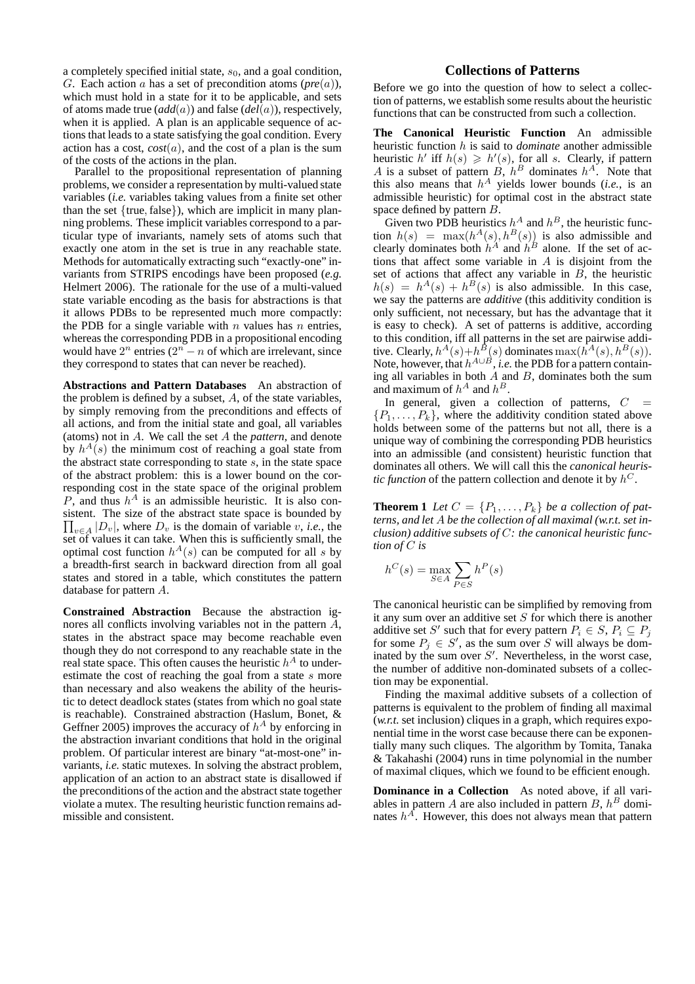a completely specified initial state,  $s<sub>0</sub>$ , and a goal condition, G. Each action a has a set of precondition atoms (*pre*(a)), which must hold in a state for it to be applicable, and sets of atoms made true (*add*(a)) and false (*del*(a)), respectively, when it is applied. A plan is an applicable sequence of actions that leads to a state satisfying the goal condition. Every action has a cost,  $cost(a)$ , and the cost of a plan is the sum of the costs of the actions in the plan.

Parallel to the propositional representation of planning problems, we consider a representation by multi-valued state variables (*i.e.* variables taking values from a finite set other than the set  ${true, false}$ , which are implicit in many planning problems. These implicit variables correspond to a particular type of invariants, namely sets of atoms such that exactly one atom in the set is true in any reachable state. Methods for automatically extracting such "exactly-one" invariants from STRIPS encodings have been proposed (*e.g.* Helmert 2006). The rationale for the use of a multi-valued state variable encoding as the basis for abstractions is that it allows PDBs to be represented much more compactly: the PDB for a single variable with  $n$  values has  $n$  entries, whereas the corresponding PDB in a propositional encoding would have  $2^n$  entries  $(2^n - n)$  of which are irrelevant, since they correspond to states that can never be reached).

**Abstractions and Pattern Databases** An abstraction of the problem is defined by a subset,  $A$ , of the state variables, by simply removing from the preconditions and effects of all actions, and from the initial state and goal, all variables (atoms) not in A. We call the set A the *pattern*, and denote by  $h^{A}(s)$  the minimum cost of reaching a goal state from the abstract state corresponding to state  $s$ , in the state space of the abstract problem: this is a lower bound on the corresponding cost in the state space of the original problem P, and thus  $h^A$  is an admissible heuristic. It is also consistent. The size of the abstract state space is bounded by  $\prod_{v \in A} |D_v|$ , where  $D_v$  is the domain of variable v, *i.e.*, the set of values it can take. When this is sufficiently small, the optimal cost function  $h^A(s)$  can be computed for all s by a breadth-first search in backward direction from all goal states and stored in a table, which constitutes the pattern database for pattern A.

**Constrained Abstraction** Because the abstraction ignores all conflicts involving variables not in the pattern A, states in the abstract space may become reachable even though they do not correspond to any reachable state in the real state space. This often causes the heuristic  $h^A$  to underestimate the cost of reaching the goal from a state s more than necessary and also weakens the ability of the heuristic to detect deadlock states (states from which no goal state is reachable). Constrained abstraction (Haslum, Bonet, & Geffner 2005) improves the accuracy of  $h^A$  by enforcing in the abstraction invariant conditions that hold in the original problem. Of particular interest are binary "at-most-one" invariants, *i.e.* static mutexes. In solving the abstract problem, application of an action to an abstract state is disallowed if the preconditions of the action and the abstract state together violate a mutex. The resulting heuristic function remains admissible and consistent.

# **Collections of Patterns**

Before we go into the question of how to select a collection of patterns, we establish some results about the heuristic functions that can be constructed from such a collection.

**The Canonical Heuristic Function** An admissible heuristic function h is said to *dominate* another admissible heuristic h' iff  $h(s) \geq h'(s)$ , for all s. Clearly, if pattern A is a subset of pattern  $B$ ,  $h^B$  dominates  $h^A$ . Note that this also means that  $h^A$  yields lower bounds (*i.e.*, is an admissible heuristic) for optimal cost in the abstract state space defined by pattern B.

Given two PDB heuristics  $h^A$  and  $h^B$ , the heuristic function  $h(s) = \max(h^A(s), h^B(s))$  is also admissible and clearly dominates both  $h^A$  and  $h^B$  alone. If the set of actions that affect some variable in  $A$  is disjoint from the set of actions that affect any variable in  $\overline{B}$ , the heuristic  $h(s) = h^A(s) + h^B(s)$  is also admissible. In this case, we say the patterns are *additive* (this additivity condition is only sufficient, not necessary, but has the advantage that it is easy to check). A set of patterns is additive, according to this condition, iff all patterns in the set are pairwise additive. Clearly,  $h^A(s) + h^B(s)$  dominates  $\max(h^A(s), h^B(s))$ . Note, however, that  $h^{A \cup B}$ , *i.e.* the PDB for a pattern containing all variables in both  $\vec{A}$  and  $\vec{B}$ , dominates both the sum and maximum of  $h^A$  and  $h^B$ .

In general, given a collection of patterns,  $C =$  $\{P_1, \ldots, P_k\}$ , where the additivity condition stated above holds between some of the patterns but not all, there is a unique way of combining the corresponding PDB heuristics into an admissible (and consistent) heuristic function that dominates all others. We will call this the *canonical heuristic function* of the pattern collection and denote it by  $h^C$ .

**Theorem 1** Let  $C = \{P_1, \ldots, P_k\}$  be a collection of pat*terns, and let* A *be the collection of all maximal (w.r.t. set inclusion) additive subsets of* C*: the canonical heuristic function of* C *is*

$$
h^C(s) = \max_{S \in A} \sum_{P \in S} h^P(s)
$$

The canonical heuristic can be simplified by removing from it any sum over an additive set  $S$  for which there is another additive set S' such that for every pattern  $P_i \in S$ ,  $P_i \subseteq P_j$ for some  $P_j \in S'$ , as the sum over S will always be dominated by the sum over  $S'$ . Nevertheless, in the worst case, the number of additive non-dominated subsets of a collection may be exponential.

Finding the maximal additive subsets of a collection of patterns is equivalent to the problem of finding all maximal (*w.r.t.* set inclusion) cliques in a graph, which requires exponential time in the worst case because there can be exponentially many such cliques. The algorithm by Tomita, Tanaka & Takahashi (2004) runs in time polynomial in the number of maximal cliques, which we found to be efficient enough.

**Dominance in a Collection** As noted above, if all variables in pattern A are also included in pattern B,  $h^B$  dominates  $h^A$ . However, this does not always mean that pattern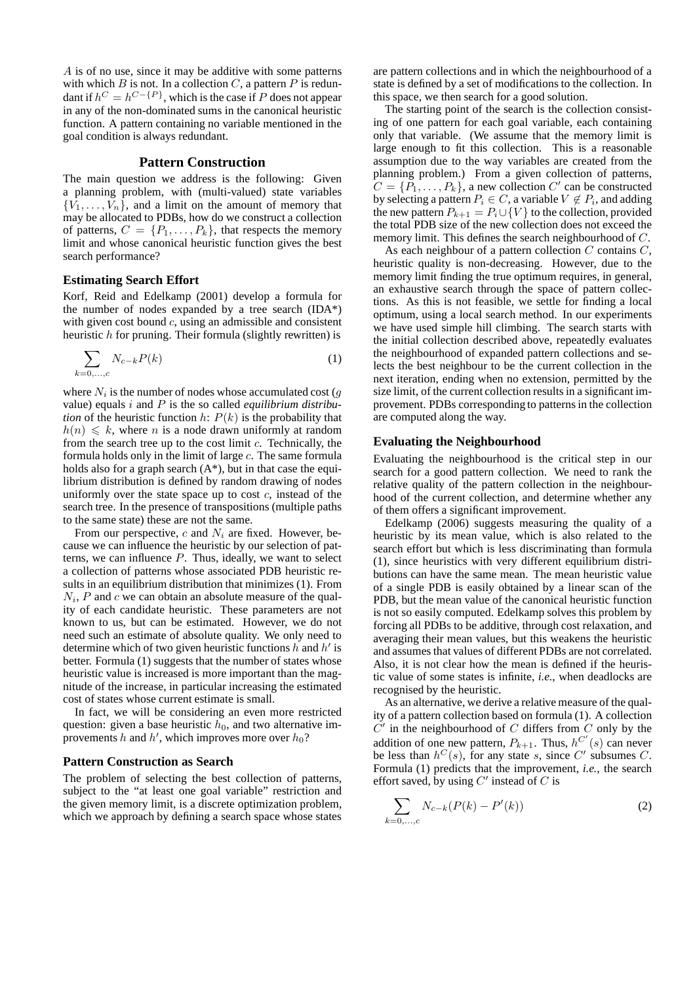A is of no use, since it may be additive with some patterns with which B is not. In a collection C, a pattern P is redundant if  $h^C = h^{C - \{P\}}$ , which is the case if P does not appear in any of the non-dominated sums in the canonical heuristic function. A pattern containing no variable mentioned in the goal condition is always redundant.

## **Pattern Construction**

The main question we address is the following: Given a planning problem, with (multi-valued) state variables  ${V_1, \ldots, V_n}$ , and a limit on the amount of memory that may be allocated to PDBs, how do we construct a collection of patterns,  $C = \{P_1, \ldots, P_k\}$ , that respects the memory limit and whose canonical heuristic function gives the best search performance?

#### **Estimating Search Effort**

Korf, Reid and Edelkamp (2001) develop a formula for the number of nodes expanded by a tree search (IDA\*) with given cost bound  $c$ , using an admissible and consistent heuristic  $h$  for pruning. Their formula (slightly rewritten) is

$$
\sum_{k=0,\ldots,c} N_{c-k} P(k) \tag{1}
$$

where  $N_i$  is the number of nodes whose accumulated cost ( $g$ value) equals i and P is the so called *equilibrium distribution* of the heuristic function  $h: P(k)$  is the probability that  $h(n) \leq k$ , where n is a node drawn uniformly at random from the search tree up to the cost limit  $c$ . Technically, the formula holds only in the limit of large  $c$ . The same formula holds also for a graph search  $(A^*)$ , but in that case the equilibrium distribution is defined by random drawing of nodes uniformly over the state space up to cost  $c$ , instead of the search tree. In the presence of transpositions (multiple paths to the same state) these are not the same.

From our perspective, c and  $N_i$  are fixed. However, because we can influence the heuristic by our selection of patterns, we can influence P. Thus, ideally, we want to select a collection of patterns whose associated PDB heuristic results in an equilibrium distribution that minimizes (1). From  $N_i$ , P and c we can obtain an absolute measure of the quality of each candidate heuristic. These parameters are not known to us, but can be estimated. However, we do not need such an estimate of absolute quality. We only need to determine which of two given heuristic functions  $h$  and  $h'$  is better. Formula (1) suggests that the number of states whose heuristic value is increased is more important than the magnitude of the increase, in particular increasing the estimated cost of states whose current estimate is small.

In fact, we will be considering an even more restricted question: given a base heuristic  $h_0$ , and two alternative improvements h and h', which improves more over  $h_0$ ?

## **Pattern Construction as Search**

The problem of selecting the best collection of patterns, subject to the "at least one goal variable" restriction and the given memory limit, is a discrete optimization problem, which we approach by defining a search space whose states are pattern collections and in which the neighbourhood of a state is defined by a set of modifications to the collection. In this space, we then search for a good solution.

The starting point of the search is the collection consisting of one pattern for each goal variable, each containing only that variable. (We assume that the memory limit is large enough to fit this collection. This is a reasonable assumption due to the way variables are created from the planning problem.) From a given collection of patterns,  $C = \{P_1, \ldots, P_k\}$ , a new collection C' can be constructed by selecting a pattern  $P_i \in C$ , a variable  $V \not\in P_i$ , and adding the new pattern  $P_{k+1} = P_i \cup \{V\}$  to the collection, provided the total PDB size of the new collection does not exceed the memory limit. This defines the search neighbourhood of C.

As each neighbour of a pattern collection  $C$  contains  $C$ , heuristic quality is non-decreasing. However, due to the memory limit finding the true optimum requires, in general, an exhaustive search through the space of pattern collections. As this is not feasible, we settle for finding a local optimum, using a local search method. In our experiments we have used simple hill climbing. The search starts with the initial collection described above, repeatedly evaluates the neighbourhood of expanded pattern collections and selects the best neighbour to be the current collection in the next iteration, ending when no extension, permitted by the size limit, of the current collection results in a significant improvement. PDBs corresponding to patterns in the collection are computed along the way.

#### **Evaluating the Neighbourhood**

Evaluating the neighbourhood is the critical step in our search for a good pattern collection. We need to rank the relative quality of the pattern collection in the neighbourhood of the current collection, and determine whether any of them offers a significant improvement.

Edelkamp (2006) suggests measuring the quality of a heuristic by its mean value, which is also related to the search effort but which is less discriminating than formula (1), since heuristics with very different equilibrium distributions can have the same mean. The mean heuristic value of a single PDB is easily obtained by a linear scan of the PDB, but the mean value of the canonical heuristic function is not so easily computed. Edelkamp solves this problem by forcing all PDBs to be additive, through cost relaxation, and averaging their mean values, but this weakens the heuristic and assumes that values of different PDBs are not correlated. Also, it is not clear how the mean is defined if the heuristic value of some states is infinite, *i.e.*, when deadlocks are recognised by the heuristic.

As an alternative, we derive a relative measure of the quality of a pattern collection based on formula (1). A collection  $\dot{C}$ ' in the neighbourhood of C differs from C only by the addition of one new pattern,  $P_{k+1}$ . Thus,  $h^{C'}(s)$  can never be less than  $h^C(s)$ , for any state s, since C' subsumes C. Formula (1) predicts that the improvement, *i.e.*, the search effort saved, by using  $C'$  instead of  $C$  is

$$
\sum_{k=0,...,c} N_{c-k}(P(k) - P'(k))
$$
 (2)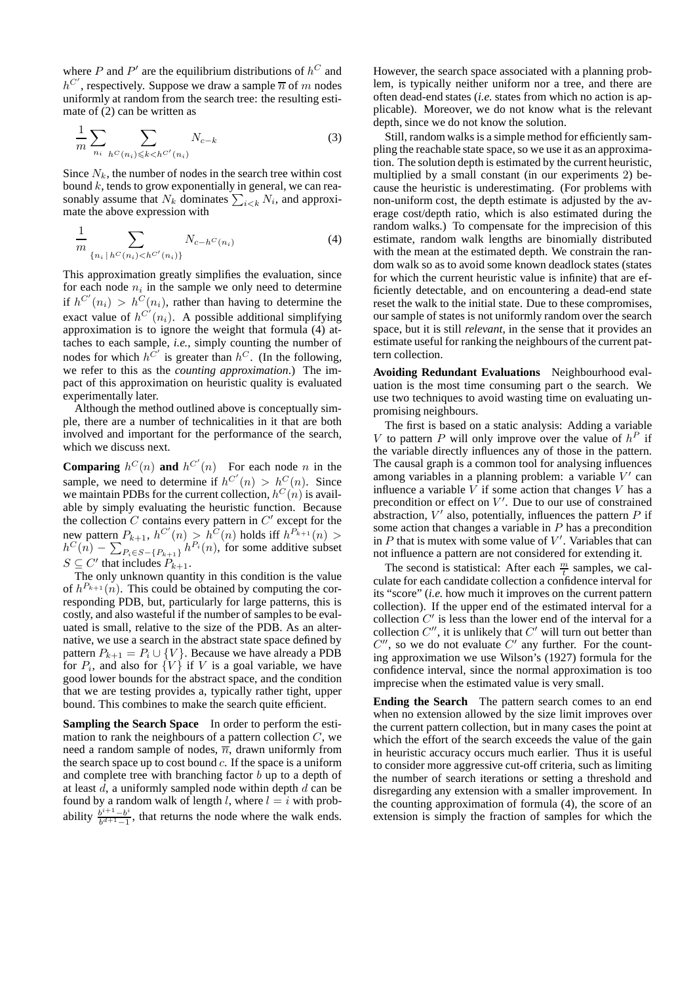where P and P' are the equilibrium distributions of  $h^C$  and  $h^{C'}$ , respectively. Suppose we draw a sample  $\overline{n}$  of m nodes uniformly at random from the search tree: the resulting estimate of  $(2)$  can be written as

$$
\frac{1}{m} \sum_{n_i} \sum_{h^C(n_i) \le k < h^{C'}(n_i)} N_{c-k} \tag{3}
$$

Since  $N_k$ , the number of nodes in the search tree within cost bound  $k$ , tends to grow exponentially in general, we can reasonably assume that  $N_k$  dominates  $\sum_{i \leq k} N_i$ , and approximate the above expression with

$$
\frac{1}{m} \sum_{\{n_i \mid h^C(n_i) < h^{C'}(n_i)\}} N_{c-h^C(n_i)} \tag{4}
$$

This approximation greatly simplifies the evaluation, since for each node  $n_i$  in the sample we only need to determine if  $h^{C'}(n_i) > h^{C}(n_i)$ , rather than having to determine the exact value of  $h^{C'}(n_i)$ . A possible additional simplifying approximation is to ignore the weight that formula (4) attaches to each sample, *i.e.*, simply counting the number of nodes for which  $h^{C'}$  is greater than  $h^{C}$ . (In the following, we refer to this as the *counting approximation*.) The impact of this approximation on heuristic quality is evaluated experimentally later.

Although the method outlined above is conceptually simple, there are a number of technicalities in it that are both involved and important for the performance of the search, which we discuss next.

**Comparing**  $h^C(n)$  **and**  $h^{C'}(n)$  For each node n in the sample, we need to determine if  $h^{C'}(n) > h^{C}(n)$ . Since we maintain PDBs for the current collection,  $h^C(n)$  is available by simply evaluating the heuristic function. Because the collection  $C$  contains every pattern in  $C'$  except for the new pattern  $P_{k+1}$ ,  $h^{C'}(n) > h^{C}(n)$  holds iff  $h^{P_{k+1}}(n) >$  $h^C(n) - \sum_{P_i \in S - \{P_{k+1}\}} h^{P_i}(n)$ , for some additive subset  $S \subseteq C'$  that includes  $P_{k+1}$ .

The only unknown quantity in this condition is the value of  $h^{P_{k+1}}(n)$ . This could be obtained by computing the corresponding PDB, but, particularly for large patterns, this is costly, and also wasteful if the number of samples to be evaluated is small, relative to the size of the PDB. As an alternative, we use a search in the abstract state space defined by pattern  $P_{k+1} = P_i \cup \{V\}$ . Because we have already a PDB for  $P_i$ , and also for  $\{V\}$  if V is a goal variable, we have good lower bounds for the abstract space, and the condition that we are testing provides a, typically rather tight, upper bound. This combines to make the search quite efficient.

**Sampling the Search Space** In order to perform the estimation to rank the neighbours of a pattern collection  $C$ , we need a random sample of nodes,  $\overline{n}$ , drawn uniformly from the search space up to cost bound  $c$ . If the space is a uniform and complete tree with branching factor  $b$  up to a depth of at least  $d$ , a uniformly sampled node within depth  $d$  can be found by a random walk of length l, where  $l = i$  with probability  $\frac{b^{i+1}-b^i}{b^{d+1}-1}$  $\frac{b^{n+1}-b^{n}}{b^{d+1}-1}$ , that returns the node where the walk ends.

However, the search space associated with a planning problem, is typically neither uniform nor a tree, and there are often dead-end states (*i.e.* states from which no action is applicable). Moreover, we do not know what is the relevant depth, since we do not know the solution.

Still, random walks is a simple method for efficiently sampling the reachable state space, so we use it as an approximation. The solution depth is estimated by the current heuristic, multiplied by a small constant (in our experiments 2) because the heuristic is underestimating. (For problems with non-uniform cost, the depth estimate is adjusted by the average cost/depth ratio, which is also estimated during the random walks.) To compensate for the imprecision of this estimate, random walk lengths are binomially distributed with the mean at the estimated depth. We constrain the random walk so as to avoid some known deadlock states (states for which the current heuristic value is infinite) that are efficiently detectable, and on encountering a dead-end state reset the walk to the initial state. Due to these compromises, our sample of states is not uniformly random over the search space, but it is still *relevant*, in the sense that it provides an estimate useful for ranking the neighbours of the current pattern collection.

**Avoiding Redundant Evaluations** Neighbourhood evaluation is the most time consuming part o the search. We use two techniques to avoid wasting time on evaluating unpromising neighbours.

The first is based on a static analysis: Adding a variable V to pattern P will only improve over the value of  $h^P$  if the variable directly influences any of those in the pattern. The causal graph is a common tool for analysing influences among variables in a planning problem: a variable  $V'$  can influence a variable  $V$  if some action that changes  $V$  has a precondition or effect on  $V'$ . Due to our use of constrained abstraction,  $V'$  also, potentially, influences the pattern  $P$  if some action that changes a variable in  $P$  has a precondition in  $P$  that is mutex with some value of  $V'$ . Variables that can not influence a pattern are not considered for extending it.

The second is statistical: After each  $\frac{m}{t}$  samples, we calculate for each candidate collection a confidence interval for its "score" (*i.e.* how much it improves on the current pattern collection). If the upper end of the estimated interval for a collection  $C'$  is less than the lower end of the interval for a collection  $C''$ , it is unlikely that  $C'$  will turn out better than  $C''$ , so we do not evaluate  $C'$  any further. For the counting approximation we use Wilson's (1927) formula for the confidence interval, since the normal approximation is too imprecise when the estimated value is very small.

**Ending the Search** The pattern search comes to an end when no extension allowed by the size limit improves over the current pattern collection, but in many cases the point at which the effort of the search exceeds the value of the gain in heuristic accuracy occurs much earlier. Thus it is useful to consider more aggressive cut-off criteria, such as limiting the number of search iterations or setting a threshold and disregarding any extension with a smaller improvement. In the counting approximation of formula (4), the score of an extension is simply the fraction of samples for which the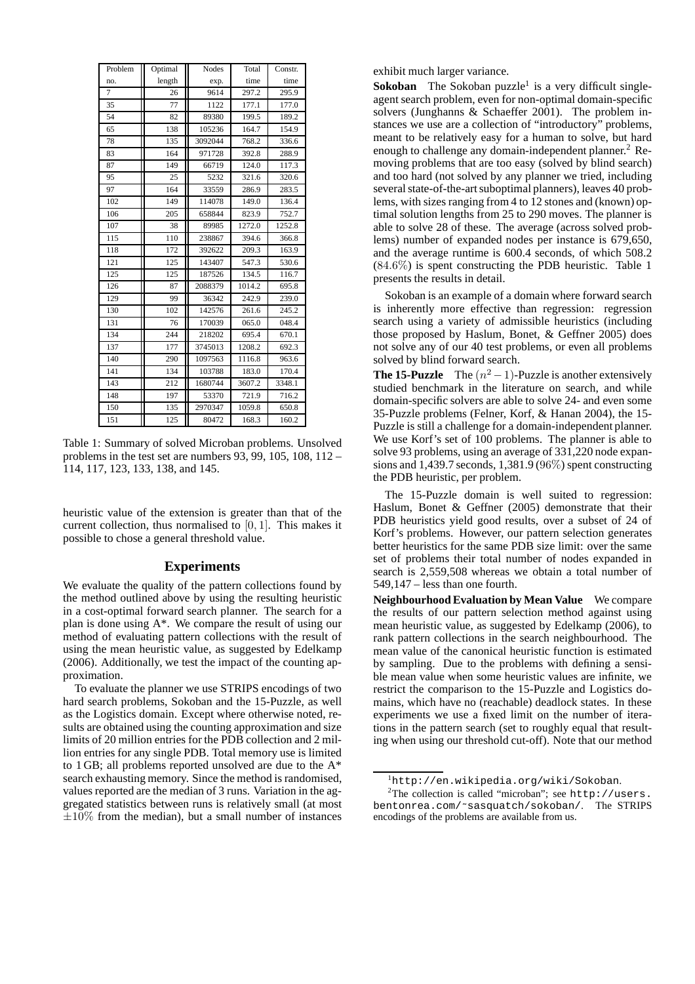| Problem | Optimal | Nodes   | Total  | Constr. |
|---------|---------|---------|--------|---------|
| no.     | length  | exp.    | time   | time    |
| 7       | 26      | 9614    | 297.2  | 295.9   |
| 35      | 77      | 1122    | 177.1  | 177.0   |
| 54      | 82      | 89380   | 199.5  | 189.2   |
| 65      | 138     | 105236  | 164.7  | 154.9   |
| 78      | 135     | 3092044 | 768.2  | 336.6   |
| 83      | 164     | 971728  | 392.8  | 288.9   |
| 87      | 149     | 66719   | 124.0  | 117.3   |
| 95      | 25      | 5232    | 321.6  | 320.6   |
| 97      | 164     | 33559   | 286.9  | 283.5   |
| 102     | 149     | 114078  | 149.0  | 136.4   |
| 106     | 205     | 658844  | 823.9  | 752.7   |
| 107     | 38      | 89985   | 1272.0 | 1252.8  |
| 115     | 110     | 238867  | 394.6  | 366.8   |
| 118     | 172     | 392622  | 209.3  | 163.9   |
| 121     | 125     | 143407  | 547.3  | 530.6   |
| 125     | 125     | 187526  | 134.5  | 116.7   |
| 126     | 87      | 2088379 | 1014.2 | 695.8   |
| 129     | 99      | 36342   | 242.9  | 239.0   |
| 130     | 102     | 142576  | 261.6  | 245.2   |
| 131     | 76      | 170039  | 065.0  | 048.4   |
| 134     | 244     | 218202  | 695.4  | 670.1   |
| 137     | 177     | 3745013 | 1208.2 | 692.3   |
| 140     | 290     | 1097563 | 1116.8 | 963.6   |
| 141     | 134     | 103788  | 183.0  | 170.4   |
| 143     | 212     | 1680744 | 3607.2 | 3348.1  |
| 148     | 197     | 53370   | 721.9  | 716.2   |
| 150     | 135     | 2970347 | 1059.8 | 650.8   |
| 151     | 125     | 80472   | 168.3  | 160.2   |

Table 1: Summary of solved Microban problems. Unsolved problems in the test set are numbers  $93, 99, 105, 108, 112$  – 114, 117, 123, 133, 138, and 145.

heuristic value of the extension is greater than that of the current collection, thus normalised to [0, 1]. This makes it possible to chose a general threshold value.

## **Experiments**

We evaluate the quality of the pattern collections found by the method outlined above by using the resulting heuristic in a cost-optimal forward search planner. The search for a plan is done using A\*. We compare the result of using our method of evaluating pattern collections with the result of using the mean heuristic value, as suggested by Edelkamp (2006). Additionally, we test the impact of the counting approximation.

To evaluate the planner we use STRIPS encodings of two hard search problems, Sokoban and the 15-Puzzle, as well as the Logistics domain. Except where otherwise noted, results are obtained using the counting approximation and size limits of 20 million entries for the PDB collection and 2 million entries for any single PDB. Total memory use is limited to 1 GB; all problems reported unsolved are due to the A\* search exhausting memory. Since the method is randomised, values reported are the median of 3 runs. Variation in the aggregated statistics between runs is relatively small (at most  $\pm 10\%$  from the median), but a small number of instances exhibit much larger variance.

**Sokoban** The Sokoban puzzle<sup>1</sup> is a very difficult singleagent search problem, even for non-optimal domain-specific solvers (Junghanns & Schaeffer 2001). The problem instances we use are a collection of "introductory" problems, meant to be relatively easy for a human to solve, but hard enough to challenge any domain-independent planner.<sup>2</sup> Removing problems that are too easy (solved by blind search) and too hard (not solved by any planner we tried, including several state-of-the-art suboptimal planners), leaves 40 problems, with sizes ranging from 4 to 12 stones and (known) optimal solution lengths from 25 to 290 moves. The planner is able to solve 28 of these. The average (across solved problems) number of expanded nodes per instance is 679,650, and the average runtime is 600.4 seconds, of which 508.2 (84.6%) is spent constructing the PDB heuristic. Table 1 presents the results in detail.

Sokoban is an example of a domain where forward search is inherently more effective than regression: regression search using a variety of admissible heuristics (including those proposed by Haslum, Bonet, & Geffner 2005) does not solve any of our 40 test problems, or even all problems solved by blind forward search.

**The 15-Puzzle** The  $(n^2 - 1)$ -Puzzle is another extensively studied benchmark in the literature on search, and while domain-specific solvers are able to solve 24- and even some 35-Puzzle problems (Felner, Korf, & Hanan 2004), the 15- Puzzle is still a challenge for a domain-independent planner. We use Korf's set of 100 problems. The planner is able to solve 93 problems, using an average of 331,220 node expansions and 1,439.7 seconds, 1,381.9 (96%) spent constructing the PDB heuristic, per problem.

The 15-Puzzle domain is well suited to regression: Haslum, Bonet & Geffner (2005) demonstrate that their PDB heuristics yield good results, over a subset of 24 of Korf's problems. However, our pattern selection generates better heuristics for the same PDB size limit: over the same set of problems their total number of nodes expanded in search is 2,559,508 whereas we obtain a total number of 549,147 – less than one fourth.

**Neighbourhood Evaluation by Mean Value** We compare the results of our pattern selection method against using mean heuristic value, as suggested by Edelkamp (2006), to rank pattern collections in the search neighbourhood. The mean value of the canonical heuristic function is estimated by sampling. Due to the problems with defining a sensible mean value when some heuristic values are infinite, we restrict the comparison to the 15-Puzzle and Logistics domains, which have no (reachable) deadlock states. In these experiments we use a fixed limit on the number of iterations in the pattern search (set to roughly equal that resulting when using our threshold cut-off). Note that our method

<sup>1</sup>http://en.wikipedia.org/wiki/Sokoban.

<sup>&</sup>lt;sup>2</sup>The collection is called "microban"; see http://users. bentonrea.com/˜sasquatch/sokoban/. The STRIPS encodings of the problems are available from us.